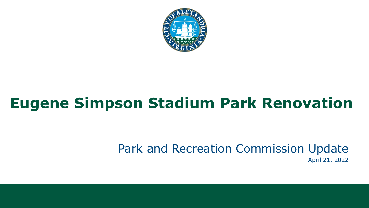

## **Eugene Simpson Stadium Park Renovation**

Park and Recreation Commission Update April 21, 2022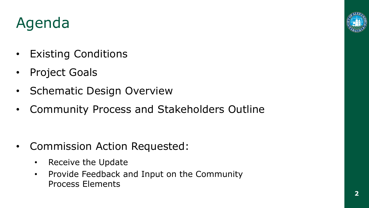### Agenda

- Existing Conditions
- Project Goals
- Schematic Design Overview
- Community Process and Stakeholders Outline

- Commission Action Requested:
	- Receive the Update
	- Provide Feedback and Input on the Community Process Elements



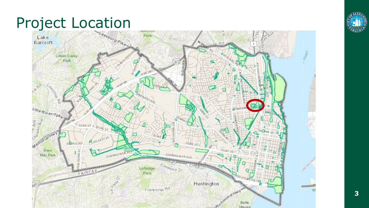# Project Location



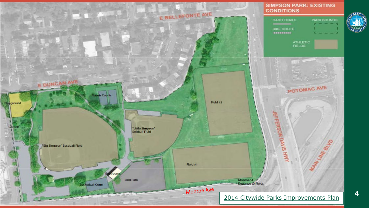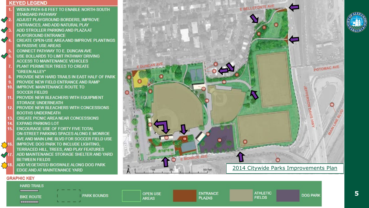#### **KEYED LEGEND**

 $\mathcal{P}$ 

 $\mathcal{Q}_1$ 

 $\mathcal{Q}_4$ 

 $\boldsymbol{\mathcal{O}}$ 

- WIDEN PATH 6-8 FEET TO ENABLE NORTH-SOUTH **STANDARD PATHWAY**
- ADJUST PLAYGROUND BORDERS. IMPROVE ENTRANCES, AND ADD NATURAL PLAY ADD STROLLER PARKING AND PLAZA AT
- PLAYGROUND ENTRANCE
- **CREATE OPEN-USE AREA AND IMPROVE PLANTINGS** IN PASSIVE USE AREAS
- **CONNECT PATHWAY TO E. DUNCAN AVE**
- USE BOLLARDS TO LIMIT PATHWAY DRIVING **ACCESS TO MAINTENANCE VEHICLES**
- PLANT PERIMETER TREES TO CREATE "GREEN ALLEY"
- PROVIDE NEW HARD TRAILS IN EAST HALF OF PARK
- PROVIDE NEW FIELD ENTRANCE AND RAMP
- **IMPROVE MAINTENANCE ROUTE TO SOCCER FIELDS**
- PROVIDE NEW BLEACHERS WITH FOUIPMENT 11 **STORAGE UNDERNEATH**
- PROVIDE NEW BLEACHERS WITH CONCESSIONS  $12$ **BOOTHS UNDERNEATH**
- **CREATE PICNIC AREA NEAR CONCESSIONS**
- **EXPAND PARKING LOT**
- 15 **ENCOURAGE USE OF FORTY FIVE TOTAL** ON-STREET PARKING SPACES ALONG E MONROE AVE AND MAIN LINE BLVD FOR SOCCER FIELD USE  $\sum$ 16. **IMPROVE DOG PARK TO INCLUDE LIGHTING. TERRACED HILL TREES, AND PLAY FEATURES**  $\sqrt{11}$ ADD MAINTENANCE STORAGE SHELTER AND YARD **BETWEEN FIELDS**
- $\sum$  18. ADD VEGETATED BIOSWALE ALONG DOG PARK **EDGE AND AT MAINTENANCE YARD**



#### **GRAPHIC KEY**



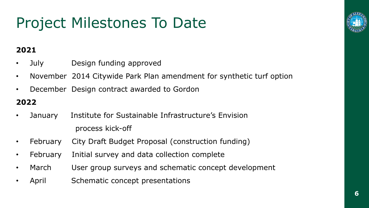## Project Milestones To Date

#### **2021**

- July Design funding approved
- November 2014 Citywide Park Plan amendment for synthetic turf option
- December Design contract awarded to Gordon

#### **2022**

- January Institute for Sustainable Infrastructure's Envision process kick-off
- February City Draft Budget Proposal (construction funding)
- February Initial survey and data collection complete
- March User group surveys and schematic concept development
- April Schematic concept presentations

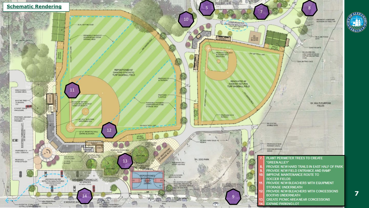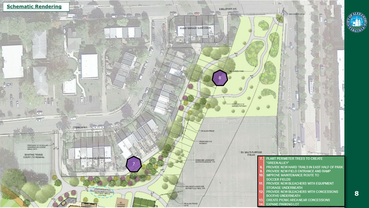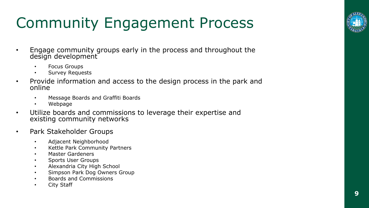# Community Engagement Process

- Engage community groups early in the process and throughout the design development
	- Focus Groups
	- Survey Requests
- Provide information and access to the design process in the park and online
	- Message Boards and Graffiti Boards
	- Webpage
- Utilize boards and commissions to leverage their expertise and existing community networks
- Park Stakeholder Groups
	- Adjacent Neighborhood
	- Kettle Park Community Partners
	- Master Gardeners
	- Sports User Groups
	- Alexandria City High School
	- Simpson Park Dog Owners Group
	- Boards and Commissions
	- City Staff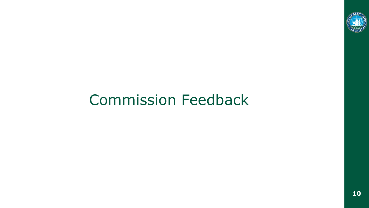

#### Commission Feedback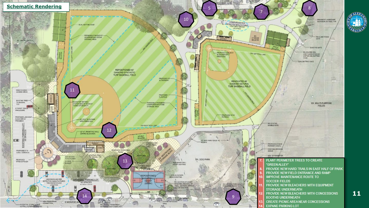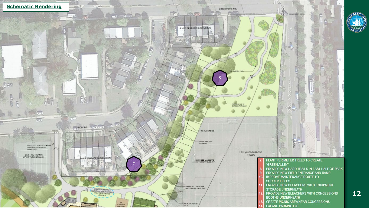